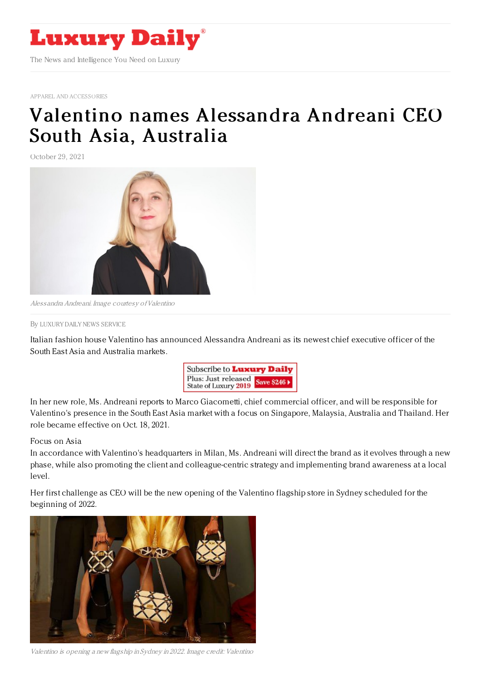

APPAREL AND [ACCESSORIES](https://www.luxurydaily.com/category/sectors/apparel-and-accessories/)

## Valentino names [Alessandra](https://www.luxurydaily.com/valentino-names-alessandra-andreani-ceo-south-asia-australia/) Andreani CEO South Asia, Australia

October 29, 2021



Alessandra Andreani. Image courtesy ofValentino

By LUXURY DAILY NEWS [SERVICE](file:///author/luxury-daily-news-service)

Italian fashion house Valentino has announced Alessandra Andreani as its newest chief executive officer of the South East Asia and Australia markets.



In her new role, Ms. Andreani reports to Marco Giacometti, chief commercial officer, and will be responsible for Valentino's presence in the South East Asia market with a focus on Singapore, Malaysia, Australia and Thailand. Her role became effective on Oct. 18, 2021.

## Focus on Asia

In accordance with Valentino's headquarters in Milan, Ms. Andreani will direct the brand as it evolves through a new phase, while also promoting the client and colleague-centric strategy and implementing brand awareness at a local level.

Her first challenge as CEO will be the new opening of the Valentino flagship store in Sydney scheduled for the beginning of 2022.



Valentino is opening <sup>a</sup> new flagship in Sydney in 2022. Image credit: Valentino